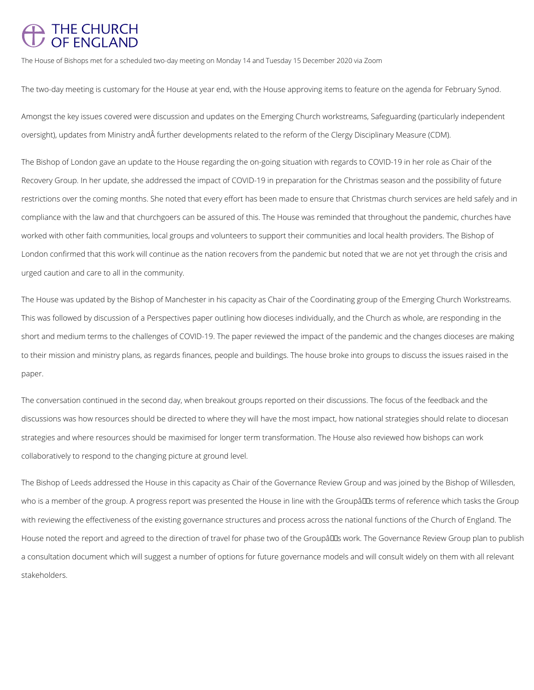## THE CHURCH<br>OF ENGLAND

The House of Bishops met for a scheduled two-day meeting on Monday 14 and Tuesday 15 December 2020 via Zoom

Amongst the key issues covered were discussion and updates on the Emerging Church workstreams, Safeguarding (particularly independent oversight), updates from Ministry and further developments related to the reform of the Clergy Disciplinary Measure (CDM).

The two-day meeting is customary for the House at year end, with the House approving items to feature on the agenda for February Synod.

The Bishop of London gave an update to the House regarding the on-going situation with regards to COVID-19 in her role as Chair of the Recovery Group. In her update, she addressed the impact of COVID-19 in preparation for the Christmas season and the possibility of future restrictions over the coming months. She noted that every effort has been made to ensure that Christmas church services are held safely and in compliance with the law and that churchgoers can be assured of this. The House was reminded that throughout the pandemic, churches have worked with other faith communities, local groups and volunteers to support their communities and local health providers. The Bishop of London confirmed that this work will continue as the nation recovers from the pandemic but noted that we are not yet through the crisis and urged caution and care to all in the community.

The Bishop of Leeds addressed the House in this capacity as Chair of the Governance Review Group and was joined by the Bishop of Willesden, who is a member of the group. A progress report was presented the House in line with the Groupâll terms of reference which tasks the Group

The House was updated by the Bishop of Manchester in his capacity as Chair of the Coordinating group of the Emerging Church Workstreams. This was followed by discussion of a Perspectives paper outlining how dioceses individually, and the Church as whole, are responding in the short and medium terms to the challenges of COVID-19. The paper reviewed the impact of the pandemic and the changes dioceses are making to their mission and ministry plans, as regards finances, people and buildings. The house broke into groups to discuss the issues raised in the paper.

The conversation continued in the second day, when breakout groups reported on their discussions. The focus of the feedback and the discussions was how resources should be directed to where they will have the most impact, how national strategies should relate to diocesan strategies and where resources should be maximised for longer term transformation. The House also reviewed how bishops can work collaboratively to respond to the changing picture at ground level.

with reviewing the effectiveness of the existing governance structures and process across the national functions of the Church of England. The

House noted the report and agreed to the direction of travel for phase two of the Groupâlls work. The Governance Review Group plan to publish

a consultation document which will suggest a number of options for future governance models and will consult widely on them with all relevant

stakeholders.